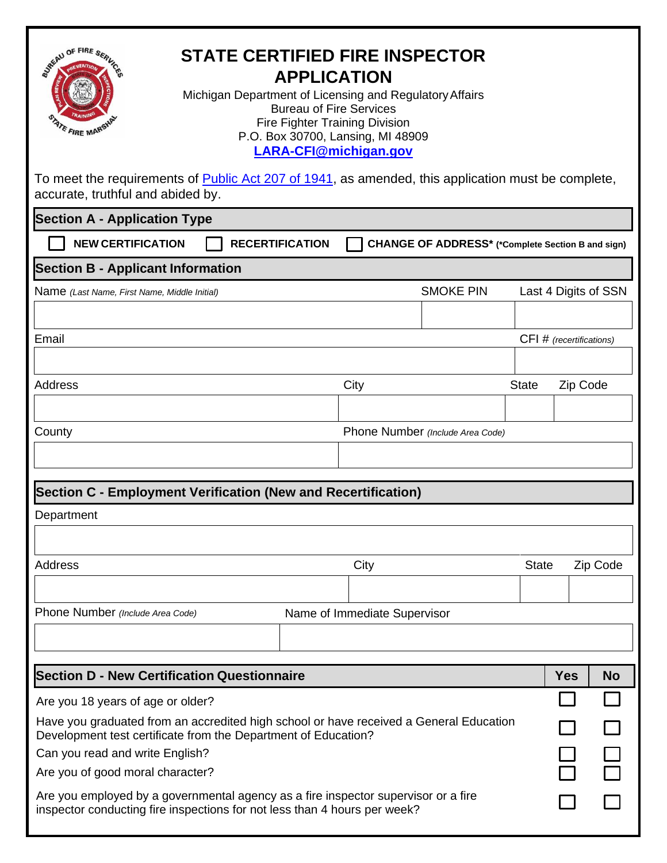| JACAU OF FIRE SERL<br><b>STATE CERTIFIED FIRE INSPECTOR</b><br><b>APPLICATION</b><br>Michigan Department of Licensing and Regulatory Affairs<br><b>Bureau of Fire Services</b><br><b>Fire Fighter Training Division</b><br><b>ATE FIRE MARSY</b><br>P.O. Box 30700, Lansing, MI 48909<br>LARA-CFI@michigan.gov |      |                                                   |              |                          |           |  |  |
|----------------------------------------------------------------------------------------------------------------------------------------------------------------------------------------------------------------------------------------------------------------------------------------------------------------|------|---------------------------------------------------|--------------|--------------------------|-----------|--|--|
| To meet the requirements of <b>Public Act 207 of 1941</b> , as amended, this application must be complete,<br>accurate, truthful and abided by.                                                                                                                                                                |      |                                                   |              |                          |           |  |  |
| <b>Section A - Application Type</b>                                                                                                                                                                                                                                                                            |      |                                                   |              |                          |           |  |  |
| <b>NEW CERTIFICATION</b><br><b>RECERTIFICATION</b>                                                                                                                                                                                                                                                             |      | CHANGE OF ADDRESS* (*Complete Section B and sign) |              |                          |           |  |  |
| <b>Section B - Applicant Information</b>                                                                                                                                                                                                                                                                       |      |                                                   |              |                          |           |  |  |
| Name (Last Name, First Name, Middle Initial)                                                                                                                                                                                                                                                                   |      | <b>SMOKE PIN</b>                                  |              | Last 4 Digits of SSN     |           |  |  |
|                                                                                                                                                                                                                                                                                                                |      |                                                   |              |                          |           |  |  |
| Email                                                                                                                                                                                                                                                                                                          |      |                                                   |              | CFI # (recertifications) |           |  |  |
|                                                                                                                                                                                                                                                                                                                |      |                                                   |              |                          |           |  |  |
| Address                                                                                                                                                                                                                                                                                                        | City |                                                   | <b>State</b> | Zip Code                 |           |  |  |
|                                                                                                                                                                                                                                                                                                                |      |                                                   |              |                          |           |  |  |
| County                                                                                                                                                                                                                                                                                                         |      | Phone Number (Include Area Code)                  |              |                          |           |  |  |
|                                                                                                                                                                                                                                                                                                                |      |                                                   |              |                          |           |  |  |
| Section C - Employment Verification (New and Recertification)                                                                                                                                                                                                                                                  |      |                                                   |              |                          |           |  |  |
| Department                                                                                                                                                                                                                                                                                                     |      |                                                   |              |                          |           |  |  |
|                                                                                                                                                                                                                                                                                                                |      |                                                   |              |                          |           |  |  |
| Address                                                                                                                                                                                                                                                                                                        | City |                                                   | <b>State</b> |                          | Zip Code  |  |  |
|                                                                                                                                                                                                                                                                                                                |      |                                                   |              |                          |           |  |  |
| Phone Number (Include Area Code)<br>Name of Immediate Supervisor                                                                                                                                                                                                                                               |      |                                                   |              |                          |           |  |  |
|                                                                                                                                                                                                                                                                                                                |      |                                                   |              |                          |           |  |  |
|                                                                                                                                                                                                                                                                                                                |      |                                                   |              |                          |           |  |  |
| <b>Section D - New Certification Questionnaire</b>                                                                                                                                                                                                                                                             |      |                                                   |              |                          | <b>No</b> |  |  |
| Are you 18 years of age or older?                                                                                                                                                                                                                                                                              |      |                                                   |              |                          |           |  |  |
| Have you graduated from an accredited high school or have received a General Education<br>Development test certificate from the Department of Education?<br>Can you read and write English?                                                                                                                    |      |                                                   |              |                          |           |  |  |
| Are you of good moral character?                                                                                                                                                                                                                                                                               |      |                                                   |              |                          |           |  |  |
| Are you employed by a governmental agency as a fire inspector supervisor or a fire<br>inspector conducting fire inspections for not less than 4 hours per week?                                                                                                                                                |      |                                                   |              |                          |           |  |  |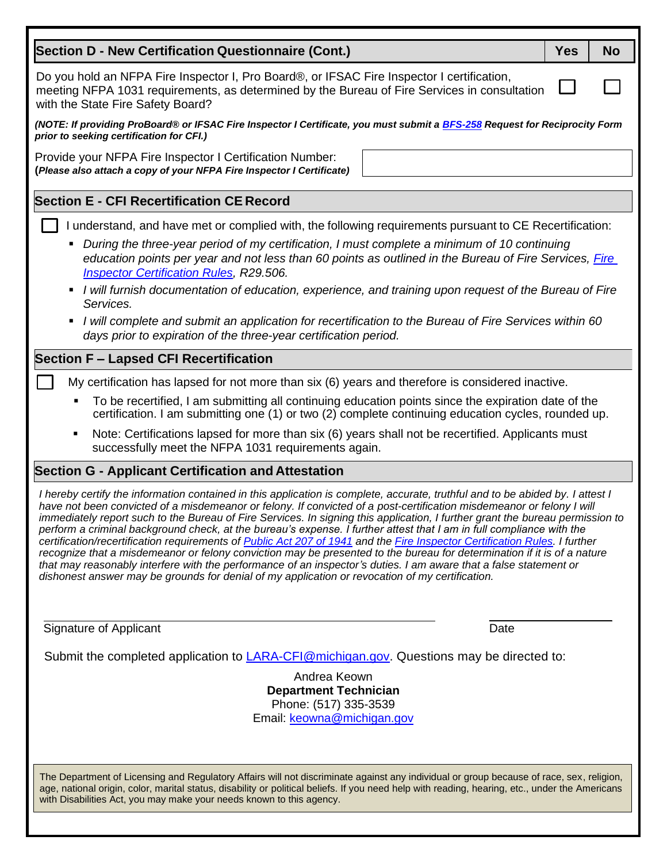| <b>Section D - New Certification Questionnaire (Cont.)</b>                                                                                                                                                                                                                                                                                                                                                                                                                                                                                                                                                                                                                                                                                                                                                                                                                                                                                                                                        | <b>Yes</b> | <b>No</b> |  |  |  |  |
|---------------------------------------------------------------------------------------------------------------------------------------------------------------------------------------------------------------------------------------------------------------------------------------------------------------------------------------------------------------------------------------------------------------------------------------------------------------------------------------------------------------------------------------------------------------------------------------------------------------------------------------------------------------------------------------------------------------------------------------------------------------------------------------------------------------------------------------------------------------------------------------------------------------------------------------------------------------------------------------------------|------------|-----------|--|--|--|--|
| Do you hold an NFPA Fire Inspector I, Pro Board®, or IFSAC Fire Inspector I certification,<br>meeting NFPA 1031 requirements, as determined by the Bureau of Fire Services in consultation<br>with the State Fire Safety Board?                                                                                                                                                                                                                                                                                                                                                                                                                                                                                                                                                                                                                                                                                                                                                                   |            |           |  |  |  |  |
| (NOTE: If providing ProBoard® or IFSAC Fire Inspector I Certificate, you must submit a BFS-258 Request for Reciprocity Form<br>prior to seeking certification for CFI.)                                                                                                                                                                                                                                                                                                                                                                                                                                                                                                                                                                                                                                                                                                                                                                                                                           |            |           |  |  |  |  |
| Provide your NFPA Fire Inspector I Certification Number:<br>(Please also attach a copy of your NFPA Fire Inspector I Certificate)                                                                                                                                                                                                                                                                                                                                                                                                                                                                                                                                                                                                                                                                                                                                                                                                                                                                 |            |           |  |  |  |  |
| <b>Section E - CFI Recertification CE Record</b>                                                                                                                                                                                                                                                                                                                                                                                                                                                                                                                                                                                                                                                                                                                                                                                                                                                                                                                                                  |            |           |  |  |  |  |
| I understand, and have met or complied with, the following requirements pursuant to CE Recertification:<br>During the three-year period of my certification, I must complete a minimum of 10 continuing<br>education points per year and not less than 60 points as outlined in the Bureau of Fire Services, Fire<br><b>Inspector Certification Rules, R29.506.</b><br>I will furnish documentation of education, experience, and training upon request of the Bureau of Fire<br>Services.<br>I will complete and submit an application for recertification to the Bureau of Fire Services within 60<br>days prior to expiration of the three-year certification period.                                                                                                                                                                                                                                                                                                                          |            |           |  |  |  |  |
| <b>Section F - Lapsed CFI Recertification</b>                                                                                                                                                                                                                                                                                                                                                                                                                                                                                                                                                                                                                                                                                                                                                                                                                                                                                                                                                     |            |           |  |  |  |  |
| My certification has lapsed for not more than six (6) years and therefore is considered inactive.<br>To be recertified, I am submitting all continuing education points since the expiration date of the<br>certification. I am submitting one (1) or two (2) complete continuing education cycles, rounded up.<br>Note: Certifications lapsed for more than six (6) years shall not be recertified. Applicants must<br>Ξ<br>successfully meet the NFPA 1031 requirements again.<br><b>Section G - Applicant Certification and Attestation</b>                                                                                                                                                                                                                                                                                                                                                                                                                                                    |            |           |  |  |  |  |
| I hereby certify the information contained in this application is complete, accurate, truthful and to be abided by. I attest I<br>have not been convicted of a misdemeanor or felony. If convicted of a post-certification misdemeanor or felony I will<br>immediately report such to the Bureau of Fire Services. In signing this application, I further grant the bureau permission to<br>perform a criminal background check, at the bureau's expense. I further attest that I am in full compliance with the<br>certification/recertification requirements of Public Act 207 of 1941 and the Fire Inspector Certification Rules. I further<br>recognize that a misdemeanor or felony conviction may be presented to the bureau for determination if it is of a nature<br>that may reasonably interfere with the performance of an inspector's duties. I am aware that a false statement or<br>dishonest answer may be grounds for denial of my application or revocation of my certification. |            |           |  |  |  |  |
| Signature of Applicant<br>Date                                                                                                                                                                                                                                                                                                                                                                                                                                                                                                                                                                                                                                                                                                                                                                                                                                                                                                                                                                    |            |           |  |  |  |  |
| Submit the completed application to <b>LARA-CFI@michigan.gov</b> . Questions may be directed to:                                                                                                                                                                                                                                                                                                                                                                                                                                                                                                                                                                                                                                                                                                                                                                                                                                                                                                  |            |           |  |  |  |  |
| Andrea Keown<br><b>Department Technician</b><br>Phone: (517) 335-3539<br>Email: keowna@michigan.gov                                                                                                                                                                                                                                                                                                                                                                                                                                                                                                                                                                                                                                                                                                                                                                                                                                                                                               |            |           |  |  |  |  |
| The Department of Licensing and Regulatory Affairs will not discriminate against any individual or group because of race, sex, religion,<br>age, national origin, color, marital status, disability or political beliefs. If you need help with reading, hearing, etc., under the Americans<br>with Disabilities Act, you may make your needs known to this agency.                                                                                                                                                                                                                                                                                                                                                                                                                                                                                                                                                                                                                               |            |           |  |  |  |  |